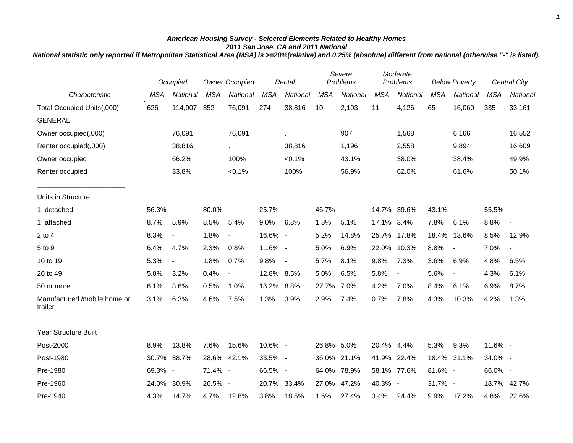## *American Housing Survey - Selected Elements Related to Healthy Homes 2011 San Jose, CA and 2011 National*

*National statistic only reported if Metropolitan Statistical Area (MSA) is >=20%(relative) and 0.25% (absolute) different from national (otherwise "-" is listed).*

|                                         | Occupied   |                          | <b>Owner Occupied</b> |                          | Rental     |                          | Severe<br>Problems |             | Moderate<br>Problems |                          | <b>Below Poverty</b> |                | Central City |                          |
|-----------------------------------------|------------|--------------------------|-----------------------|--------------------------|------------|--------------------------|--------------------|-------------|----------------------|--------------------------|----------------------|----------------|--------------|--------------------------|
| Characteristic                          | <b>MSA</b> | National                 | <b>MSA</b>            | National                 | <b>MSA</b> | National                 | <b>MSA</b>         | National    | <b>MSA</b>           | National                 | <b>MSA</b>           | National       | <b>MSA</b>   | National                 |
| Total Occupied Units(,000)              | 626        | 114,907                  | 352                   | 76,091                   | 274        | 38,816                   | 10                 | 2,103       | 11                   | 4,126                    | 65                   | 16,060         | 335          | 33,161                   |
| <b>GENERAL</b>                          |            |                          |                       |                          |            |                          |                    |             |                      |                          |                      |                |              |                          |
| Owner occupied(,000)                    |            | 76,091                   |                       | 76,091                   |            | ×.                       |                    | 907         |                      | 1,568                    |                      | 6,166          |              | 16,552                   |
| Renter occupied(,000)                   |            | 38,816                   |                       | $\sim$                   |            | 38,816                   |                    | 1,196       |                      | 2,558                    |                      | 9,894          |              | 16,609                   |
| Owner occupied                          |            | 66.2%                    |                       | 100%                     |            | $< 0.1\%$                |                    | 43.1%       |                      | 38.0%                    |                      | 38.4%          |              | 49.9%                    |
| Renter occupied                         |            | 33.8%                    |                       | $< 0.1\%$                |            | 100%                     |                    | 56.9%       |                      | 62.0%                    |                      | 61.6%          |              | 50.1%                    |
| Units in Structure                      |            |                          |                       |                          |            |                          |                    |             |                      |                          |                      |                |              |                          |
| 1, detached                             | 56.3% -    |                          | 80.0% -               |                          | 25.7% -    |                          | 46.7% -            |             |                      | 14.7% 39.6%              | 43.1% -              |                | 55.5% -      |                          |
| 1, attached                             | 8.7%       | 5.9%                     | 8.5%                  | 5.4%                     | $9.0\%$    | 6.8%                     | 1.8%               | 5.1%        | 17.1% 3.4%           |                          | 7.8%                 | 6.1%           | 8.8%         | $\overline{\phantom{a}}$ |
| $2$ to $4$                              | 8.3%       | $\blacksquare$           | 1.8%                  | $\blacksquare$           | 16.6% -    |                          | 5.2%               | 14.8%       | 25.7%                | 17.8%                    | 18.4%                | 13.6%          | 8.5%         | 12.9%                    |
| 5 to 9                                  | 6.4%       | 4.7%                     | 2.3%                  | 0.8%                     | 11.6% -    |                          | 5.0%               | 6.9%        | 22.0%                | 10.3%                    | 8.8%                 | $\blacksquare$ | 7.0%         | $\blacksquare$           |
| 10 to 19                                | 5.3%       | $\overline{\phantom{a}}$ | 1.8%                  | 0.7%                     | 9.8%       | $\overline{\phantom{a}}$ | 5.7%               | 8.1%        | 9.8%                 | 7.3%                     | 3.6%                 | 6.9%           | 4.8%         | 6.5%                     |
| 20 to 49                                | 5.8%       | 3.2%                     | 0.4%                  | $\overline{\phantom{a}}$ | 12.8% 8.5% |                          | 5.0%               | 6.5%        | 5.8%                 | $\overline{\phantom{a}}$ | 5.6%                 | $\blacksquare$ | 4.3%         | 6.1%                     |
| 50 or more                              | 6.1%       | 3.6%                     | 0.5%                  | 1.0%                     | 13.2% 8.8% |                          | 27.7%              | 7.0%        | 4.2%                 | 7.0%                     | 8.4%                 | 6.1%           | 6.9%         | 8.7%                     |
| Manufactured /mobile home or<br>trailer | 3.1%       | 6.3%                     | 4.6%                  | 7.5%                     | 1.3%       | 3.9%                     | 2.9%               | 7.4%        | 0.7%                 | 7.8%                     | 4.3%                 | 10.3%          | 4.2%         | 1.3%                     |
| <b>Year Structure Built</b>             |            |                          |                       |                          |            |                          |                    |             |                      |                          |                      |                |              |                          |
| Post-2000                               | 8.9%       | 13.8%                    | 7.6%                  | 15.6%                    | 10.6% -    |                          | 26.8% 5.0%         |             | 20.4% 4.4%           |                          | 5.3%                 | 9.3%           | 11.6% -      |                          |
| Post-1980                               | 30.7%      | 38.7%                    |                       | 28.6% 42.1%              | 33.5% -    |                          |                    | 36.0% 21.1% | 41.9%                | 22.4%                    |                      | 18.4% 31.1%    | 34.0% -      |                          |
| Pre-1980                                | 69.3% -    |                          | 71.4% -               |                          | 66.5% -    |                          | 64.0%              | 78.9%       |                      | 58.1% 77.6%              | 81.6% -              |                | 66.0% -      |                          |
| Pre-1960                                | 24.0%      | 30.9%                    | 26.5% -               |                          |            | 20.7% 33.4%              | 27.0%              | 47.2%       | 40.3% -              |                          | 31.7% -              |                | 18.7%        | 42.7%                    |
| Pre-1940                                | 4.3%       | 14.7%                    | 4.7%                  | 12.8%                    | 3.8%       | 18.5%                    | 1.6%               | 27.4%       | 3.4%                 | 24.4%                    | 9.9%                 | 17.2%          | 4.8%         | 22.6%                    |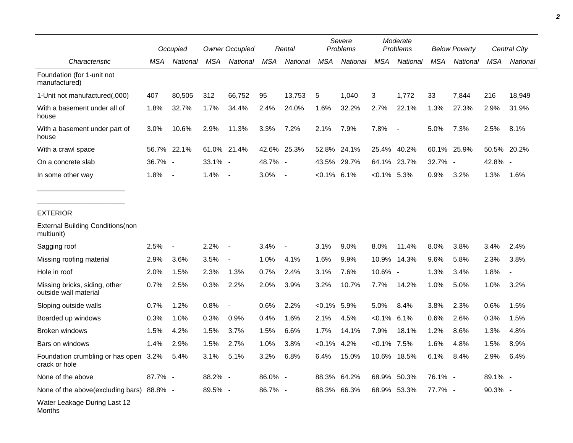|                                                        |         | Occupied                 |            | <b>Owner Occupied</b> |            | Rental                   |                | Severe<br>Problems |                | Moderate<br>Problems     |            | <b>Below Poverty</b> |            | Central City |  |
|--------------------------------------------------------|---------|--------------------------|------------|-----------------------|------------|--------------------------|----------------|--------------------|----------------|--------------------------|------------|----------------------|------------|--------------|--|
| Characteristic                                         | MSA     | National                 | MSA        | National              | <b>MSA</b> | National                 | <b>MSA</b>     | National           | <b>MSA</b>     | National                 | <b>MSA</b> | National             | <b>MSA</b> | National     |  |
| Foundation (for 1-unit not<br>manufactured)            |         |                          |            |                       |            |                          |                |                    |                |                          |            |                      |            |              |  |
| 1-Unit not manufactured(,000)                          | 407     | 80,505                   | 312        | 66,752                | 95         | 13,753                   | 5              | 1,040              | 3              | 1,772                    | 33         | 7,844                | 216        | 18,949       |  |
| With a basement under all of<br>house                  | 1.8%    | 32.7%                    | 1.7%       | 34.4%                 | 2.4%       | 24.0%                    | 1.6%           | 32.2%              | 2.7%           | 22.1%                    | 1.3%       | 27.3%                | 2.9%       | 31.9%        |  |
| With a basement under part of<br>house                 | 3.0%    | 10.6%                    | 2.9%       | 11.3%                 | 3.3%       | 7.2%                     | 2.1%           | 7.9%               | 7.8%           | $\overline{\phantom{a}}$ | 5.0%       | 7.3%                 | 2.5%       | 8.1%         |  |
| With a crawl space                                     |         | 56.7% 22.1%              |            | 61.0% 21.4%           | 42.6%      | 25.3%                    | 52.8%          | 24.1%              | 25.4%          | 40.2%                    | 60.1%      | 25.9%                | 50.5%      | 20.2%        |  |
| On a concrete slab                                     | 36.7% - |                          | $33.1\%$ - |                       | 48.7% -    |                          | 43.5%          | 29.7%              |                | 64.1% 23.7%              | 32.7% -    |                      | 42.8% -    |              |  |
| In some other way                                      | 1.8%    | $\sim$                   | 1.4%       | $\sim$                | 3.0%       | $\blacksquare$           | $< 0.1\%$ 6.1% |                    | $< 0.1\%$ 5.3% |                          | 0.9%       | 3.2%                 | 1.3%       | 1.6%         |  |
| <b>EXTERIOR</b>                                        |         |                          |            |                       |            |                          |                |                    |                |                          |            |                      |            |              |  |
| <b>External Building Conditions (non</b><br>multiunit) |         |                          |            |                       |            |                          |                |                    |                |                          |            |                      |            |              |  |
| Sagging roof                                           | 2.5%    | $\overline{\phantom{a}}$ | 2.2%       |                       | 3.4%       | $\overline{\phantom{a}}$ | 3.1%           | 9.0%               | 8.0%           | 11.4%                    | 8.0%       | 3.8%                 | 3.4%       | 2.4%         |  |
| Missing roofing material                               | 2.9%    | 3.6%                     | 3.5%       |                       | 1.0%       | 4.1%                     | 1.6%           | 9.9%               | 10.9%          | 14.3%                    | 9.6%       | 5.8%                 | 2.3%       | 3.8%         |  |
| Hole in roof                                           | 2.0%    | 1.5%                     | 2.3%       | 1.3%                  | 0.7%       | 2.4%                     | 3.1%           | 7.6%               | 10.6%          | $\overline{\phantom{a}}$ | 1.3%       | 3.4%                 | 1.8%       |              |  |
| Missing bricks, siding, other<br>outside wall material | 0.7%    | 2.5%                     | 0.3%       | 2.2%                  | 2.0%       | 3.9%                     | 3.2%           | 10.7%              | 7.7%           | 14.2%                    | 1.0%       | 5.0%                 | 1.0%       | 3.2%         |  |
| Sloping outside walls                                  | 0.7%    | 1.2%                     | 0.8%       |                       | 0.6%       | 2.2%                     | $< 0.1\%$      | 5.9%               | 5.0%           | 8.4%                     | 3.8%       | 2.3%                 | 0.6%       | 1.5%         |  |
| Boarded up windows                                     | 0.3%    | 1.0%                     | 0.3%       | 0.9%                  | 0.4%       | 1.6%                     | 2.1%           | 4.5%               | $< 0.1\%$ 6.1% |                          | 0.6%       | 2.6%                 | 0.3%       | 1.5%         |  |
| Broken windows                                         | 1.5%    | 4.2%                     | 1.5%       | 3.7%                  | 1.5%       | 6.6%                     | 1.7%           | 14.1%              | 7.9%           | 18.1%                    | 1.2%       | 8.6%                 | 1.3%       | 4.8%         |  |
| Bars on windows                                        | 1.4%    | 2.9%                     | 1.5%       | 2.7%                  | 1.0%       | 3.8%                     | $< 0.1\%$      | 4.2%               | $< 0.1\%$ 7.5% |                          | 1.6%       | 4.8%                 | 1.5%       | 8.9%         |  |
| Foundation crumbling or has open 3.2%<br>crack or hole |         | 5.4%                     | 3.1%       | 5.1%                  | 3.2%       | 6.8%                     | 6.4%           | 15.0%              |                | 10.6% 18.5%              | 6.1%       | 8.4%                 | 2.9%       | 6.4%         |  |
| None of the above                                      | 87.7% - |                          | 88.2% -    |                       | 86.0% -    |                          |                | 88.3% 64.2%        |                | 68.9% 50.3%              | 76.1% -    |                      | 89.1% -    |              |  |
| None of the above(excluding bars) 88.8% -              |         |                          | 89.5% -    |                       | 86.7% -    |                          |                | 88.3% 66.3%        |                | 68.9% 53.3%              | 77.7% -    |                      | 90.3% -    |              |  |
| Water Leakage During Last 12<br>Months                 |         |                          |            |                       |            |                          |                |                    |                |                          |            |                      |            |              |  |

*2*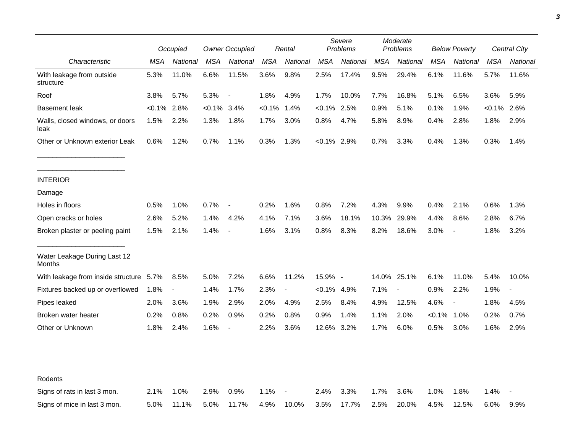|                                         |           | Occupied       |           | <b>Owner Occupied</b>    |            | Rental                   | Severe<br>Problems |          | Moderate<br>Problems |                          | <b>Below Poverty</b> |                          | Central City |                |
|-----------------------------------------|-----------|----------------|-----------|--------------------------|------------|--------------------------|--------------------|----------|----------------------|--------------------------|----------------------|--------------------------|--------------|----------------|
| Characteristic                          | MSA       | National       | MSA       | National                 | <b>MSA</b> | National                 | <b>MSA</b>         | National | <b>MSA</b>           | National                 | <b>MSA</b>           | National                 | MSA          | National       |
| With leakage from outside<br>structure  | 5.3%      | 11.0%          | 6.6%      | 11.5%                    | 3.6%       | 9.8%                     | 2.5%               | 17.4%    | 9.5%                 | 29.4%                    | 6.1%                 | 11.6%                    | 5.7%         | 11.6%          |
| Roof                                    | 3.8%      | 5.7%           | 5.3%      | $\overline{\phantom{a}}$ | 1.8%       | 4.9%                     | 1.7%               | 10.0%    | 7.7%                 | 16.8%                    | 5.1%                 | 6.5%                     | 3.6%         | 5.9%           |
| <b>Basement leak</b>                    | $< 0.1\%$ | 2.8%           | $< 0.1\%$ | 3.4%                     | $<0.1\%$   | 1.4%                     | $< 0.1\%$          | 2.5%     | 0.9%                 | 5.1%                     | 0.1%                 | 1.9%                     | $< 0.1\%$    | 2.6%           |
| Walls, closed windows, or doors<br>leak | 1.5%      | 2.2%           | 1.3%      | 1.8%                     | 1.7%       | 3.0%                     | 0.8%               | 4.7%     | 5.8%                 | 8.9%                     | 0.4%                 | 2.8%                     | 1.8%         | 2.9%           |
| Other or Unknown exterior Leak          | 0.6%      | 1.2%           | 0.7%      | 1.1%                     | 0.3%       | 1.3%                     | $< 0.1\%$ 2.9%     |          | 0.7%                 | 3.3%                     | 0.4%                 | 1.3%                     | 0.3%         | 1.4%           |
| <b>INTERIOR</b>                         |           |                |           |                          |            |                          |                    |          |                      |                          |                      |                          |              |                |
| Damage                                  |           |                |           |                          |            |                          |                    |          |                      |                          |                      |                          |              |                |
| Holes in floors                         | 0.5%      | 1.0%           | 0.7%      | $\overline{\phantom{a}}$ | 0.2%       | 1.6%                     | 0.8%               | 7.2%     | 4.3%                 | 9.9%                     | 0.4%                 | 2.1%                     | 0.6%         | 1.3%           |
| Open cracks or holes                    | 2.6%      | 5.2%           | 1.4%      | 4.2%                     | 4.1%       | 7.1%                     | 3.6%               | 18.1%    | 10.3%                | 29.9%                    | 4.4%                 | 8.6%                     | 2.8%         | 6.7%           |
| Broken plaster or peeling paint         | 1.5%      | 2.1%           | 1.4%      | $\overline{\phantom{a}}$ | 1.6%       | 3.1%                     | 0.8%               | 8.3%     | 8.2%                 | 18.6%                    | 3.0%                 | $\overline{\phantom{a}}$ | 1.8%         | 3.2%           |
| Water Leakage During Last 12<br>Months  |           |                |           |                          |            |                          |                    |          |                      |                          |                      |                          |              |                |
| With leakage from inside structure      | 5.7%      | 8.5%           | 5.0%      | 7.2%                     | 6.6%       | 11.2%                    | 15.9% -            |          |                      | 14.0% 25.1%              | 6.1%                 | 11.0%                    | 5.4%         | 10.0%          |
| Fixtures backed up or overflowed        | 1.8%      | $\blacksquare$ | 1.4%      | 1.7%                     | 2.3%       | $\overline{\phantom{a}}$ | $< 0.1\%$ 4.9%     |          | 7.1%                 | $\overline{\phantom{a}}$ | 0.9%                 | 2.2%                     | 1.9%         | $\blacksquare$ |
| Pipes leaked                            | 2.0%      | 3.6%           | 1.9%      | 2.9%                     | 2.0%       | 4.9%                     | 2.5%               | 8.4%     | 4.9%                 | 12.5%                    | 4.6%                 | $\overline{\phantom{a}}$ | 1.8%         | 4.5%           |
| Broken water heater                     | 0.2%      | 0.8%           | 0.2%      | 0.9%                     | 0.2%       | 0.8%                     | 0.9%               | 1.4%     | 1.1%                 | 2.0%                     | $< 0.1\%$            | 1.0%                     | 0.2%         | 0.7%           |
| Other or Unknown                        | 1.8%      | 2.4%           | 1.6%      | $\blacksquare$           | 2.2%       | 3.6%                     | 12.6%              | 3.2%     | 1.7%                 | $6.0\%$                  | 0.5%                 | 3.0%                     | 1.6%         | 2.9%           |
|                                         |           |                |           |                          |            |                          |                    |          |                      |                          |                      |                          |              |                |
| Rodents                                 |           |                |           |                          |            |                          |                    |          |                      |                          |                      |                          |              |                |
| Signs of rats in last 3 mon.            | 2.1%      | 1.0%           | 2.9%      | 0.9%                     | 1.1%       |                          | 2.4%               | 3.3%     | 1.7%                 | 3.6%                     | 1.0%                 | 1.8%                     | 1.4%         |                |
| Signs of mice in last 3 mon.            | 5.0%      | 11.1%          | 5.0%      | 11.7%                    | 4.9%       | 10.0%                    | 3.5%               | 17.7%    | 2.5%                 | 20.0%                    | 4.5%                 | 12.5%                    | 6.0%         | 9.9%           |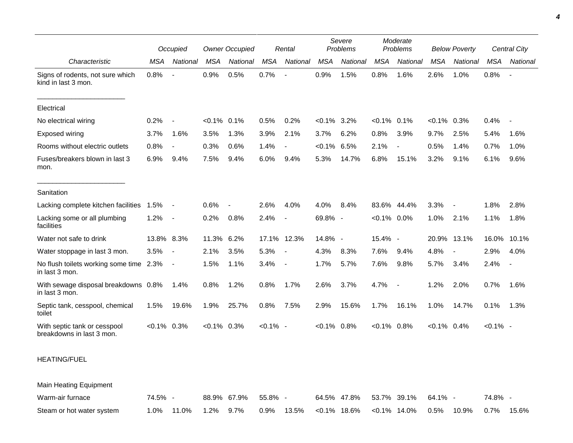|                                                           | Occupied       |                          | <b>Owner Occupied</b> |          | Rental      |                          | Severe<br>Problems |          | Moderate<br>Problems |                          | <b>Below Poverty</b> |             | <b>Central City</b> |                          |
|-----------------------------------------------------------|----------------|--------------------------|-----------------------|----------|-------------|--------------------------|--------------------|----------|----------------------|--------------------------|----------------------|-------------|---------------------|--------------------------|
| Characteristic                                            | MSA            | National                 | <b>MSA</b>            | National | <b>MSA</b>  | National                 | <b>MSA</b>         | National | <b>MSA</b>           | National                 | <b>MSA</b>           | National    | <b>MSA</b>          | National                 |
| Signs of rodents, not sure which<br>kind in last 3 mon.   | 0.8%           | $\blacksquare$           | 0.9%                  | 0.5%     | 0.7%        |                          | 0.9%               | 1.5%     | 0.8%                 | 1.6%                     | 2.6%                 | 1.0%        | 0.8%                | $\overline{\phantom{a}}$ |
| Electrical                                                |                |                          |                       |          |             |                          |                    |          |                      |                          |                      |             |                     |                          |
| No electrical wiring                                      | 0.2%           |                          | $< 0.1\%$ 0.1%        |          | 0.5%        | 0.2%                     | $< 0.1\%$ 3.2%     |          | $< 0.1\%$ 0.1%       |                          | $< 0.1\%$ 0.3%       |             | 0.4%                | $\overline{\phantom{a}}$ |
| <b>Exposed wiring</b>                                     | 3.7%           | 1.6%                     | 3.5%                  | 1.3%     | 3.9%        | 2.1%                     | 3.7%               | 6.2%     | 0.8%                 | 3.9%                     | 9.7%                 | 2.5%        | 5.4%                | 1.6%                     |
| Rooms without electric outlets                            | 0.8%           | $\overline{\phantom{a}}$ | 0.3%                  | 0.6%     | 1.4%        | $\overline{\phantom{a}}$ | $< 0.1\%$          | 6.5%     | 2.1%                 |                          | 0.5%                 | 1.4%        | 0.7%                | 1.0%                     |
| Fuses/breakers blown in last 3<br>mon.                    | 6.9%           | 9.4%                     | 7.5%                  | 9.4%     | 6.0%        | 9.4%                     | 5.3%               | 14.7%    | 6.8%                 | 15.1%                    | 3.2%                 | 9.1%        | 6.1%                | 9.6%                     |
| Sanitation                                                |                |                          |                       |          |             |                          |                    |          |                      |                          |                      |             |                     |                          |
| Lacking complete kitchen facilities                       | 1.5%           | $\sim$                   | 0.6%                  |          | 2.6%        | 4.0%                     | 4.0%               | 8.4%     |                      | 83.6% 44.4%              | 3.3%                 |             | 1.8%                | 2.8%                     |
| Lacking some or all plumbing<br>facilities                | 1.2%           | $\sim$                   | 0.2%                  | 0.8%     | 2.4%        | $\overline{\phantom{a}}$ | 69.8% -            |          | $< 0.1\%$ 0.0%       |                          | 1.0%                 | 2.1%        | 1.1%                | 1.8%                     |
| Water not safe to drink                                   | 13.8% 8.3%     |                          | 11.3% 6.2%            |          |             | 17.1% 12.3%              | 14.8% -            |          | 15.4%                | $\overline{\phantom{a}}$ |                      | 20.9% 13.1% | 16.0%               | 10.1%                    |
| Water stoppage in last 3 mon.                             | 3.5%           | $\sim$                   | 2.1%                  | 3.5%     | 5.3%        | $\overline{\phantom{a}}$ | 4.3%               | 8.3%     | 7.6%                 | 9.4%                     | 4.8%                 |             | 2.9%                | 4.0%                     |
| No flush toilets working some time 2.3%<br>in last 3 mon. |                | $\sim$                   | 1.5%                  | 1.1%     | 3.4%        | $\blacksquare$           | 1.7%               | 5.7%     | 7.6%                 | 9.8%                     | 5.7%                 | 3.4%        | 2.4%                | $\overline{\phantom{a}}$ |
| With sewage disposal breakdowns 0.8%<br>in last 3 mon.    |                | 1.4%                     | 0.8%                  | 1.2%     | 0.8%        | 1.7%                     | 2.6%               | 3.7%     | 4.7%                 |                          | 1.2%                 | 2.0%        | 0.7%                | 1.6%                     |
| Septic tank, cesspool, chemical<br>toilet                 | 1.5%           | 19.6%                    | 1.9%                  | 25.7%    | 0.8%        | 7.5%                     | 2.9%               | 15.6%    | 1.7%                 | 16.1%                    | 1.0%                 | 14.7%       | 0.1%                | 1.3%                     |
| With septic tank or cesspool<br>breakdowns in last 3 mon. | $< 0.1\%$ 0.3% |                          | $< 0.1\%$ 0.3%        |          | $< 0.1\%$ - |                          | $< 0.1\%$ 0.8%     |          | $< 0.1\%$ 0.8%       |                          | $< 0.1\%$ 0.4%       |             | $< 0.1\%$ -         |                          |
| <b>HEATING/FUEL</b>                                       |                |                          |                       |          |             |                          |                    |          |                      |                          |                      |             |                     |                          |
| Main Heating Equipment                                    |                |                          |                       |          |             |                          |                    |          |                      |                          |                      |             |                     |                          |

Warm-air furnace **74.5% - 88.9% 67.9% 55.8% - 64.5% 47.8% 53.7% 39.1% 64.1% - 74.8%** Steam or hot water system 1.0% 11.0% 1.2% 9.7% 0.9% 13.5% <0.1% 18.6% <0.1% 14.0% 0.5% 10.9% 0.7% 15.6%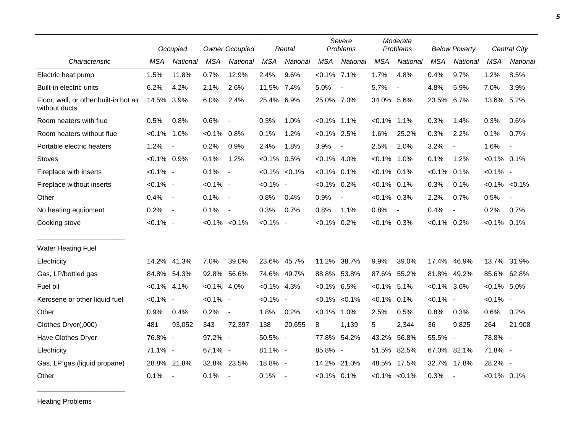|                                                         | Occupied       |                          | <b>Owner Occupied</b> |                          | Rental         |                          | Severe<br>Problems |                          | Moderate<br>Problems |                          | <b>Below Poverty</b> |                          | <b>Central City</b> |                          |
|---------------------------------------------------------|----------------|--------------------------|-----------------------|--------------------------|----------------|--------------------------|--------------------|--------------------------|----------------------|--------------------------|----------------------|--------------------------|---------------------|--------------------------|
| Characteristic                                          | <b>MSA</b>     | National                 | <b>MSA</b>            | National                 | <b>MSA</b>     | National                 | <b>MSA</b>         | National                 | <b>MSA</b>           | National                 | <b>MSA</b>           | National                 | <b>MSA</b>          | National                 |
| Electric heat pump                                      | 1.5%           | 11.8%                    | 0.7%                  | 12.9%                    | 2.4%           | 9.6%                     | $< 0.1\%$ 7.1%     |                          | 1.7%                 | 4.8%                     | 0.4%                 | 9.7%                     | 1.2%                | 8.5%                     |
| Built-in electric units                                 | 6.2%           | 4.2%                     | 2.1%                  | 2.6%                     | 11.5% 7.4%     |                          | 5.0%               | $\overline{\phantom{a}}$ | 5.7%                 | $\overline{\phantom{a}}$ | 4.8%                 | 5.9%                     | 7.0%                | 3.9%                     |
| Floor, wall, or other built-in hot air<br>without ducts | 14.5% 3.9%     |                          | 6.0%                  | 2.4%                     | 25.4% 6.9%     |                          | 25.0% 7.0%         |                          | 34.0% 5.6%           |                          | 23.5% 6.7%           |                          | 13.6% 5.2%          |                          |
| Room heaters with flue                                  | 0.5%           | 0.8%                     | 0.6%                  | $\overline{\phantom{a}}$ | 0.3%           | 1.0%                     | $< 0.1\%$ 1.1%     |                          | $< 0.1\%$            | 1.1%                     | 0.3%                 | 1.4%                     | 0.3%                | 0.6%                     |
| Room heaters without flue                               | $< 0.1\%$ 1.0% |                          | $<0.1\%$ 0.8%         |                          | 0.1%           | 1.2%                     | $< 0.1\%$ 2.5%     |                          | 1.6%                 | 25.2%                    | 0.3%                 | 2.2%                     | 0.1%                | 0.7%                     |
| Portable electric heaters                               | 1.2%           | $\blacksquare$           | 0.2%                  | 0.9%                     | 2.4%           | 1.8%                     | 3.9%               | $\overline{\phantom{a}}$ | 2.5%                 | 2.0%                     | 3.2%                 | $\overline{\phantom{a}}$ | 1.6%                | $\overline{\phantom{a}}$ |
| Stoves                                                  | $< 0.1\%$ 0.9% |                          | 0.1%                  | 1.2%                     | $< 0.1\%$ 0.5% |                          | $< 0.1\%$ 4.0%     |                          | $< 0.1\%$            | 1.0%                     | 0.1%                 | 1.2%                     | $< 0.1\%$ 0.1%      |                          |
| Fireplace with inserts                                  | $< 0.1\%$ -    |                          | 0.1%                  | $\sim$                   |                | $< 0.1\%$ $< 0.1\%$      | $< 0.1\%$ 0.1%     |                          | $< 0.1\%$            | 0.1%                     | $< 0.1\%$ 0.1%       |                          | $< 0.1\%$ -         |                          |
| Fireplace without inserts                               | $< 0.1\%$ -    |                          | $< 0.1\%$ -           |                          | $< 0.1\%$ -    |                          | $< 0.1\%$ 0.2%     |                          | $< 0.1\%$ 0.1%       |                          | 0.3%                 | 0.1%                     |                     | $< 0.1\%$ $< 0.1\%$      |
| Other                                                   | 0.4%           | $\sim$                   | 0.1%                  | $\sim$                   | 0.8%           | 0.4%                     | 0.9%               | $\overline{\phantom{a}}$ | $< 0.1\%$ 0.3%       |                          | 2.2%                 | 0.7%                     | 0.5%                | $\overline{\phantom{a}}$ |
| No heating equipment                                    | 0.2%           | $\sim$                   | 0.1%                  | $\overline{\phantom{a}}$ | 0.3%           | 0.7%                     | 0.8%               | $1.1\%$                  | 0.8%                 | $\overline{\phantom{a}}$ | 0.4%                 | $\blacksquare$           | 0.2%                | 0.7%                     |
| Cooking stove                                           | $< 0.1\%$ -    |                          |                       | $< 0.1\% < 0.1\%$        | $< 0.1\%$ -    |                          | $< 0.1\%$ 0.2%     |                          | $<0.1\%$ 0.3%        |                          | $< 0.1\%$ 0.2%       |                          | $< 0.1\%$ 0.1%      |                          |
| <b>Water Heating Fuel</b>                               |                |                          |                       |                          |                |                          |                    |                          |                      |                          |                      |                          |                     |                          |
| Electricity                                             | 14.2%          | 41.3%                    | 7.0%                  | 39.0%                    |                | 23.6% 45.7%              |                    | 11.2% 38.7%              | 9.9%                 | 39.0%                    | 17.4%                | 46.9%                    |                     | 13.7% 31.9%              |
| Gas, LP/bottled gas                                     |                | 84.8% 54.3%              |                       | 92.8% 56.6%              |                | 74.6% 49.7%              | 88.8% 53.8%        |                          | 87.6%                | 55.2%                    |                      | 81.8% 49.2%              |                     | 85.6% 62.8%              |
| Fuel oil                                                | $< 0.1\%$ 4.1% |                          | $< 0.1\%$ 4.0%        |                          | $< 0.1\%$ 4.3% |                          | $< 0.1\%$ 6.5%     |                          | $< 0.1\%$ 5.1%       |                          | $< 0.1\%$ 3.6%       |                          | $< 0.1\%$ 5.0%      |                          |
| Kerosene or other liquid fuel                           | $< 0.1\%$ -    |                          | $< 0.1\%$ -           |                          | $< 0.1\%$ -    |                          |                    | $< 0.1\%$ $< 0.1\%$      | $< 0.1\%$            | 0.1%                     | $< 0.1\%$ -          |                          | $< 0.1\%$ -         |                          |
| Other                                                   | 0.9%           | 0.4%                     | 0.2%                  | $\blacksquare$           | 1.8%           | 0.2%                     | $< 0.1\%$ 1.0%     |                          | 2.5%                 | 0.5%                     | 0.8%                 | 0.3%                     | 0.6%                | 0.2%                     |
| Clothes Dryer(,000)                                     | 481            | 93,052                   | 343                   | 72,397                   | 138            | 20,655                   | 8                  | 1,139                    | 5                    | 2,344                    | 36                   | 9.825                    | 264                 | 21,908                   |
| Have Clothes Dryer                                      | 76.8% -        |                          | 97.2% -               |                          | 50.5% -        |                          | 77.8% 54.2%        |                          | 43.2%                | 56.8%                    | 55.5% -              |                          | 78.8% -             |                          |
| Electricity                                             | 71.1% -        |                          | 67.1% -               |                          | 81.1% -        |                          | 85.8% -            |                          | 51.5%                | 82.5%                    | 67.0% 82.1%          |                          | 71.8% -             |                          |
| Gas, LP gas (liquid propane)                            |                | 28.8% 21.8%              |                       | 32.8% 23.5%              | $18.8\%$ -     |                          | 14.2%              | 21.0%                    |                      | 48.5% 17.5%              |                      | 32.7% 17.8%              | 28.2% -             |                          |
| Other                                                   | 0.1%           | $\overline{\phantom{a}}$ | 0.1%                  | $\sim$                   | 0.1%           | $\overline{\phantom{a}}$ | $< 0.1\%$ 0.1%     |                          |                      | $< 0.1\%$ $< 0.1\%$      | 0.3%                 | $\overline{\phantom{a}}$ | $< 0.1\%$ 0.1%      |                          |

Heating Problems

\_\_\_\_\_\_\_\_\_\_\_\_\_\_\_\_\_\_\_\_\_\_\_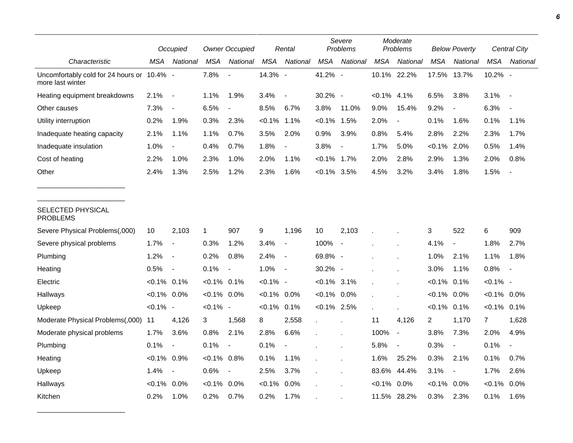|                                                                | Occupied       |                          | <b>Owner Occupied</b> |                          |                | Rental                   |                | Severe<br>Problems       |                | Moderate<br>Problems     |                | <b>Below Poverty</b>     |                | <b>Central City</b>      |  |
|----------------------------------------------------------------|----------------|--------------------------|-----------------------|--------------------------|----------------|--------------------------|----------------|--------------------------|----------------|--------------------------|----------------|--------------------------|----------------|--------------------------|--|
| Characteristic                                                 | MSA            | National                 | MSA                   | National                 | <b>MSA</b>     | National                 | <b>MSA</b>     | National                 | <b>MSA</b>     | National                 | MSA            | National                 | <b>MSA</b>     | National                 |  |
| Uncomfortably cold for 24 hours or 10.4% -<br>more last winter |                |                          | 7.8%                  |                          | 14.3% -        |                          | 41.2% -        |                          |                | 10.1% 22.2%              | 17.5%          | 13.7%                    | 10.2% -        |                          |  |
| Heating equipment breakdowns                                   | 2.1%           | $\overline{\phantom{a}}$ | 1.1%                  | 1.9%                     | 3.4%           | $\overline{\phantom{a}}$ | 30.2% -        |                          | $< 0.1\%$ 4.1% |                          | 6.5%           | 3.8%                     | 3.1%           | $\overline{\phantom{a}}$ |  |
| Other causes                                                   | 7.3%           | $\overline{\phantom{a}}$ | 6.5%                  |                          | 8.5%           | 6.7%                     | 3.8%           | 11.0%                    | 9.0%           | 15.4%                    | 9.2%           | $\overline{\phantom{a}}$ | 6.3%           |                          |  |
| Utility interruption                                           | 0.2%           | 1.9%                     | 0.3%                  | 2.3%                     | $< 0.1\%$      | 1.1%                     | $< 0.1\%$      | 1.5%                     | 2.0%           | $\overline{\phantom{a}}$ | 0.1%           | 1.6%                     | 0.1%           | 1.1%                     |  |
| Inadequate heating capacity                                    | 2.1%           | 1.1%                     | 1.1%                  | 0.7%                     | 3.5%           | 2.0%                     | 0.9%           | 3.9%                     | 0.8%           | 5.4%                     | 2.8%           | 2.2%                     | 2.3%           | 1.7%                     |  |
| Inadequate insulation                                          | 1.0%           | $\blacksquare$           | 0.4%                  | 0.7%                     | 1.8%           | $\blacksquare$           | 3.8%           | $\overline{\phantom{a}}$ | 1.7%           | 5.0%                     | $< 0.1\%$      | 2.0%                     | 0.5%           | 1.4%                     |  |
| Cost of heating                                                | 2.2%           | 1.0%                     | 2.3%                  | 1.0%                     | 2.0%           | 1.1%                     | $< 0.1\%$ 1.7% |                          | 2.0%           | 2.8%                     | 2.9%           | 1.3%                     | 2.0%           | 0.8%                     |  |
| Other                                                          | 2.4%           | 1.3%                     | 2.5%                  | 1.2%                     | 2.3%           | 1.6%                     | $< 0.1\%$ 3.5% |                          | 4.5%           | 3.2%                     | 3.4%           | 1.8%                     | 1.5%           |                          |  |
| SELECTED PHYSICAL<br><b>PROBLEMS</b>                           |                |                          |                       |                          |                |                          |                |                          |                |                          |                |                          |                |                          |  |
| Severe Physical Problems(,000)                                 | 10             | 2,103                    | 1                     | 907                      | 9              | 1,196                    | 10             | 2,103                    |                |                          | 3              | 522                      | 6              | 909                      |  |
| Severe physical problems                                       | 1.7%           | $\overline{\phantom{a}}$ | 0.3%                  | 1.2%                     | 3.4%           | $\overline{\phantom{a}}$ | 100%           | $\overline{\phantom{a}}$ |                |                          | 4.1%           | $\overline{\phantom{a}}$ | 1.8%           | 2.7%                     |  |
| Plumbing                                                       | 1.2%           | $\overline{\phantom{a}}$ | 0.2%                  | 0.8%                     | 2.4%           | $\overline{\phantom{a}}$ | 69.8% -        |                          |                |                          | 1.0%           | 2.1%                     | 1.1%           | 1.8%                     |  |
| Heating                                                        | 0.5%           | $\blacksquare$           | 0.1%                  | $\blacksquare$           | 1.0%           | $\overline{\phantom{a}}$ | 30.2% -        |                          |                |                          | 3.0%           | 1.1%                     | 0.8%           |                          |  |
| Electric                                                       | $< 0.1\%$ 0.1% |                          | $< 0.1\%$ 0.1%        |                          | $< 0.1\%$ -    |                          | $< 0.1\%$ 3.1% |                          |                |                          | $< 0.1\%$      | 0.1%                     | $< 0.1\%$ -    |                          |  |
| Hallways                                                       | $< 0.1\%$ 0.0% |                          | $< 0.1\%$ 0.0%        |                          | $< 0.1\%$ 0.0% |                          | $< 0.1\%$ 0.0% |                          |                |                          | $< 0.1\%$      | $0.0\%$                  | $< 0.1\%$ 0.0% |                          |  |
| Upkeep                                                         | $< 0.1\%$ -    |                          | $< 0.1\%$ -           |                          | $< 0.1\%$      | 0.1%                     | $< 0.1\%$ 2.5% |                          |                |                          | $< 0.1\%$ 0.1% |                          | $< 0.1\%$ 0.1% |                          |  |
| Moderate Physical Problems(,000)                               | 11             | 4,126                    | 3                     | 1,568                    | 8              | 2,558                    | $\mathbf{r}$   |                          | 11             | 4,126                    | $\overline{2}$ | 1,170                    | $\overline{7}$ | 1,628                    |  |
| Moderate physical problems                                     | 1.7%           | 3.6%                     | 0.8%                  | 2.1%                     | 2.8%           | 6.6%                     |                |                          | 100%           | $\blacksquare$           | 3.8%           | 7.3%                     | 2.0%           | 4.9%                     |  |
| Plumbing                                                       | 0.1%           | $\overline{\phantom{a}}$ | 0.1%                  | $\overline{\phantom{a}}$ | 0.1%           | $\overline{\phantom{a}}$ |                |                          | 5.8%           | $\overline{a}$           | 0.3%           | $\overline{\phantom{a}}$ | 0.1%           |                          |  |
| Heating                                                        | $< 0.1\%$ 0.9% |                          | $< 0.1\%$             | 0.8%                     | 0.1%           | 1.1%                     |                |                          | 1.6%           | 25.2%                    | 0.3%           | 2.1%                     | 0.1%           | 0.7%                     |  |
| Upkeep                                                         | 1.4%           | $\overline{\phantom{a}}$ | 0.6%                  | $\blacksquare$           | 2.5%           | 3.7%                     |                |                          | 83.6%          | 44.4%                    | 3.1%           | $\overline{\phantom{a}}$ | 1.7%           | 2.6%                     |  |
| Hallways                                                       | $< 0.1\%$      | 0.0%                     | $< 0.1\%$             | 0.0%                     | $< 0.1\%$      | 0.0%                     |                |                          | $< 0.1\%$      | 0.0%                     | $< 0.1\%$      | 0.0%                     | $< 0.1\%$      | 0.0%                     |  |
| Kitchen                                                        | 0.2%           | 1.0%                     | 0.2%                  | 0.7%                     | 0.2%           | 1.7%                     |                |                          | 11.5%          | 28.2%                    | 0.3%           | 2.3%                     | 0.1%           | 1.6%                     |  |

\_\_\_\_\_\_\_\_\_\_\_\_\_\_\_\_\_\_\_\_\_\_\_